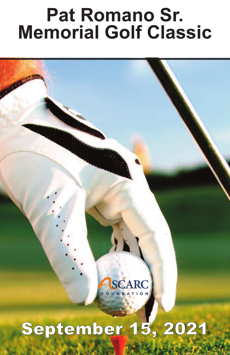# **Pat Romano Sr.<br><b>Memorial Golf Classic**



## September 15, 2021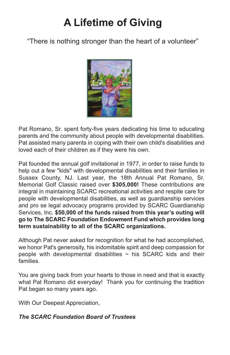### **A Lifetime of Giving A Lifetime of Giving**

"There is nothing stronger that the heart of a volunteer" "There is nothing stronger than the heart of a volunteer"



Pat Romano, Sr. spent forty-five years dedicating his time to educating parents and the community about people with developmental disabilities. Pat assisted many parents in coping with their own child's disabilities and loved each of their children as if they were his own.

Pat founded the annual golf invitational in 1977, in order to raise funds to help out a few "kids" with developmental disabilities and their families in Sussex County, NJ. Last year, the 18th Annual Pat Romano, Sr. Memorial Golf Classic raised over **\$305,000!** These contributions are integral in maintaining SCARC recreational activities and respite care for people with developmental disabilities, as well as guardianship services and pro se legal advocacy programs provided by SCARC Guardianship Services, Inc. **\$50,000 of the funds raised from this year's outing will go to The SCARC Foundation Endowment Fund which provides long term sustainability to all of the SCARC organizations.**

Although Pat never asked for recognition for what he had accomplished, we honor Pat's generosity, his indomitable spirit and deep compassion for people with developmental disabilities  $\sim$  his SCARC kids and their families.

You are giving back from your hearts to those in need and that is exactly what Pat Romano did everyday! Thank you for continuing the tradition Pat began so many years ago.

With Our Deepest Appreciation,

#### *The SCARC Foundation Board of Trustees*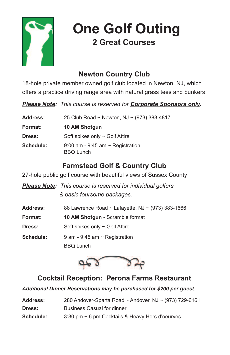

**One Golf Outing 2 Great Courses**

#### **Newton Country Club**

18-hole private member owned golf club located in Newton, NJ, which offers a practice driving range area with natural grass tees and bunkers

*Please Note: This course is reserved for Corporate Sponsors only.*

| <b>Address:</b> | 25 Club Road ~ Newton, NJ ~ $(973)$ 383-4817              |
|-----------------|-----------------------------------------------------------|
| Format:         | 10 AM Shotgun                                             |
| <b>Dress:</b>   | Soft spikes only $\sim$ Golf Attire                       |
| Schedule:       | 9:00 am - 9:45 am $\sim$ Registration<br><b>BBQ Lunch</b> |

#### **Farmstead Golf & Country Club**

27-hole public golf course with beautiful views of Sussex County

*Please Note: This course is reserved for individual golfers & basic foursome packages.*

| <b>Address:</b> | 88 Lawrence Road ~ Lafayette, NJ ~ (973) 383-1666 |
|-----------------|---------------------------------------------------|
| <b>Format:</b>  | <b>10 AM Shotgun - Scramble format</b>            |
| Dress:          | Soft spikes only $\sim$ Golf Attire               |
| Schedule:       | 9 am - 9:45 am $\sim$ Registration                |
|                 | <b>BBQ</b> Lunch                                  |



#### **Cocktail Reception: Perona Farms Restaurant**

*Additional Dinner Reservations may be purchased for \$200 per guest.*

| Address:  | 280 Andover-Sparta Road ~ Andover, NJ ~ (973) 729-6161 |
|-----------|--------------------------------------------------------|
| Dress:    | <b>Business Casual for dinner</b>                      |
| Schedule: | $3:30$ pm $\sim$ 6 pm Cocktails & Heavy Hors d'oeurves |